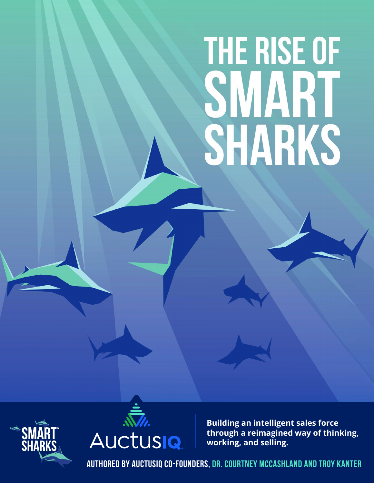# THE RISE OF **SMART<br>SHARKS**





**Building an intelligent sales force through a reimagined way of thinking, working, and selling.** 

**authored by auctusiq co-founders, dr. courtney mccashland and troy kanter**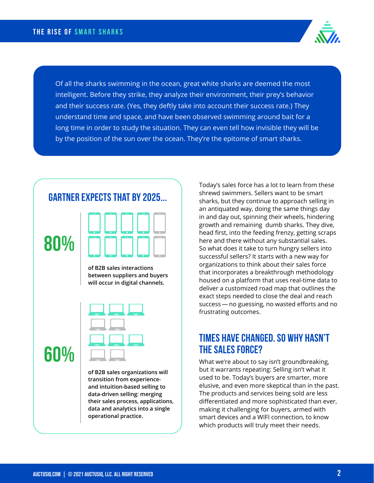

Of all the sharks swimming in the ocean, great white sharks are deemed the most intelligent. Before they strike, they analyze their environment, their prey's behavior and their success rate. (Yes, they deftly take into account their success rate.) They understand time and space, and have been observed swimming around bait for a long time in order to study the situation. They can even tell how invisible they will be by the position of the sun over the ocean. They're the epitome of smart sharks.



**and intuition-based selling to data-driven selling: merging their sales process, applications, data and analytics into a single operational practice.**

Today's sales force has a lot to learn from these shrewd swimmers. Sellers want to be smart sharks, but they continue to approach selling in an antiquated way, doing the same things day in and day out, spinning their wheels, hindering growth and remaining dumb sharks. They dive, head first, into the feeding frenzy, getting scraps here and there without any substantial sales. So what does it take to turn hungry sellers into successful sellers? It starts with a new way for organizations to think about their sales force that incorporates a breakthrough methodology housed on a platform that uses real-time data to deliver a customized road map that outlines the exact steps needed to close the deal and reach success — no guessing, no wasted efforts and no frustrating outcomes.

### **Times have changed. So why hasn't the sales force?**

What we're about to say isn't groundbreaking, but it warrants repeating: Selling isn't what it used to be. Today's buyers are smarter, more elusive, and even more skeptical than in the past. The products and services being sold are less differentiated and more sophisticated than ever, making it challenging for buyers, armed with smart devices and a WIFI connection, to know which products will truly meet their needs.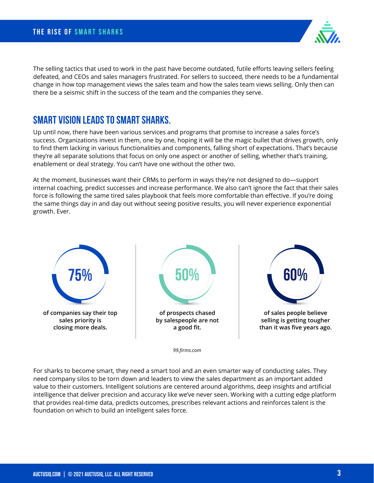The selling tactics that used to work in the past have become outdated, futile efforts leaving sellers feeling defeated, and CEOs and sales managers frustrated. For sellers to succeed, there needs to be a fundamental change in how top management views the sales team and how the sales team views selling. Only then can there be a seismic shift in the success of the team and the companies they serve.

### **Smart Vision Leads to Smart Sharks.**

Up until now, there have been various services and programs that promise to increase a sales force's success. Organizations invest in them, one by one, hoping it will be the magic bullet that drives growth, only to find them lacking in various functionalities and components, falling short of expectations. That's because they're all separate solutions that focus on only one aspect or another of selling, whether that's training, enablement or deal strategy. You can't have one without the other two.

At the moment, businesses want their CRMs to perform in ways they're not designed to do—support internal coaching, predict successes and increase performance. We also can't ignore the fact that their sales force is following the same tired sales playbook that feels more comfortable than effective. If you're doing the same things day in and day out without seeing positive results, you will never experience exponential growth. Ever.



*99.firms.com*

For sharks to become smart, they need a smart tool and an even smarter way of conducting sales. They need company silos to be torn down and leaders to view the sales department as an important added value to their customers. Intelligent solutions are centered around algorithms, deep insights and artificial intelligence that deliver precision and accuracy like we've never seen. Working with a cutting edge platform that provides real-time data, predicts outcomes, prescribes relevant actions and reinforces talent is the foundation on which to build an intelligent sales force.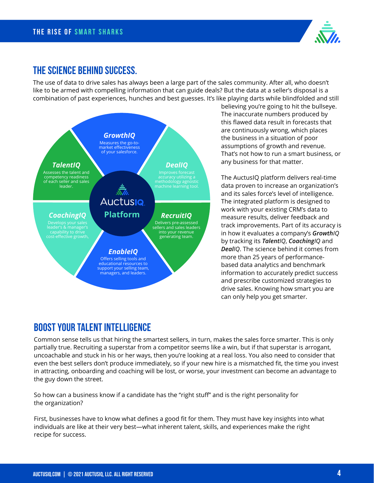

### **The Science Behind Success.**

The use of data to drive sales has always been a large part of the sales community. After all, who doesn't like to be armed with compelling information that can guide deals? But the data at a seller's disposal is a combination of past experiences, hunches and best guesses. It's like playing darts while blindfolded and still



believing you're going to hit the bullseye. The inaccurate numbers produced by this flawed data result in forecasts that are continuously wrong, which places the business in a situation of poor assumptions of growth and revenue. That's not how to run a smart business, or any business for that matter.

The AuctusIQ platform delivers real-time data proven to increase an organization's and its sales force's level of intelligence. The integrated platform is designed to work with your existing CRM's data to measure results, deliver feedback and track improvements. Part of its accuracy is in how it evaluates a company's *GrowthIQ* by tracking its *TalentIQ*, *CoachingIQ* and *DealIQ*. The science behind it comes from more than 25 years of performancebased data analytics and benchmark information to accurately predict success and prescribe customized strategies to drive sales. Knowing how smart you are can only help you get smarter.

### **Boost Your Talent Intelligence**

Common sense tells us that hiring the smartest sellers, in turn, makes the sales force smarter. This is only partially true. Recruiting a superstar from a competitor seems like a win, but if that superstar is arrogant, uncoachable and stuck in his or her ways, then you're looking at a real loss. You also need to consider that even the best sellers don't produce immediately, so if your new hire is a mismatched fit, the time you invest in attracting, onboarding and coaching will be lost, or worse, your investment can become an advantage to the guy down the street.

So how can a business know if a candidate has the "right stuff" and is the right personality for the organization?

First, businesses have to know what defines a good fit for them. They must have key insights into what individuals are like at their very best—what inherent talent, skills, and experiences make the right recipe for success.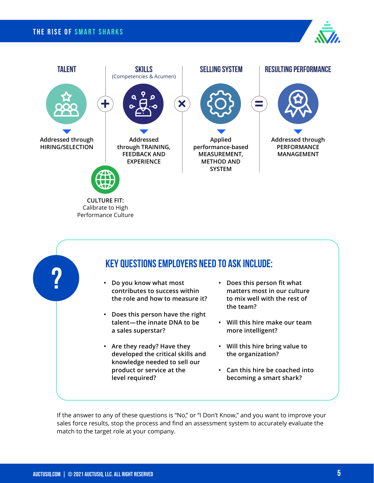### **the rise of Smart Sharks**







If the answer to any of these questions is "No," or "I Don't Know," and you want to improve your sales force results, stop the process and find an assessment system to accurately evaluate the match to the target role at your company.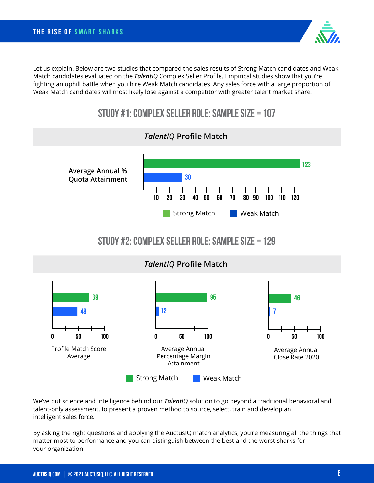Let us explain. Below are two studies that compared the sales results of Strong Match candidates and Weak Match candidates evaluated on the *TalentIQ* Complex Seller Profile. Empirical studies show that you're fighting an uphill battle when you hire Weak Match candidates. Any sales force with a large proportion of Weak Match candidates will most likely lose against a competitor with greater talent market share.

## **Study #1: Complex Seller Role: Sample Size = 107**



We've put science and intelligence behind our *TalentIQ* solution to go beyond a traditional behavioral and talent-only assessment, to present a proven method to source, select, train and develop an intelligent sales force.

By asking the right questions and applying the AuctusIQ match analytics, you're measuring all the things that matter most to performance and you can distinguish between the best and the worst sharks for your organization.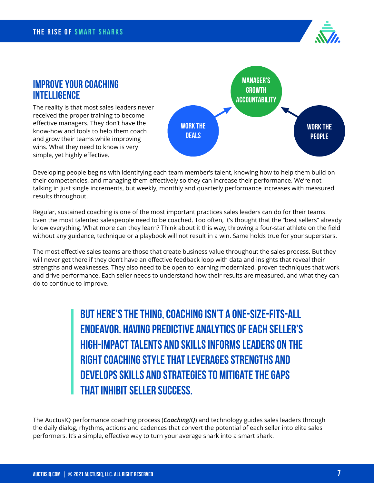

### **Improve Your Coaching Intelligence**

The reality is that most sales leaders never received the proper training to become effective managers. They don't have the know-how and tools to help them coach and grow their teams while improving wins. What they need to know is very simple, yet highly effective.



Developing people begins with identifying each team member's talent, knowing how to help them build on their competencies, and managing them effectively so they can increase their performance. We're not talking in just single increments, but weekly, monthly and quarterly performance increases with measured results throughout.

Regular, sustained coaching is one of the most important practices sales leaders can do for their teams. Even the most talented salespeople need to be coached. Too often, it's thought that the "best sellers'' already know everything. What more can they learn? Think about it this way, throwing a four-star athlete on the field without any guidance, technique or a playbook will not result in a win. Same holds true for your superstars.

The most effective sales teams are those that create business value throughout the sales process. But they will never get there if they don't have an effective feedback loop with data and insights that reveal their strengths and weaknesses. They also need to be open to learning modernized, proven techniques that work and drive performance. Each seller needs to understand how their results are measured, and what they can do to continue to improve.

> **But here's the thing, coaching isn't a one-size-fits-all endeavor. Having predictive analytics of each seller's high-impact talents and skills informs leaders on the right coaching style that leverages strengths and develops skills and strategies to mitigate the gaps that inhibit seller success.**

The AuctusIQ performance coaching process (*CoachingIQ*) and technology guides sales leaders through the daily dialog, rhythms, actions and cadences that convert the potential of each seller into elite sales performers. It's a simple, effective way to turn your average shark into a smart shark.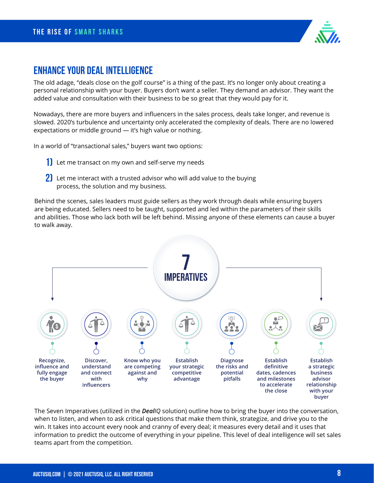

### **Enhance Your Deal Intelligence**

The old adage, "deals close on the golf course" is a thing of the past. It's no longer only about creating a personal relationship with your buyer. Buyers don't want a seller. They demand an advisor. They want the added value and consultation with their business to be so great that they would pay for it.

Nowadays, there are more buyers and influencers in the sales process, deals take longer, and revenue is slowed. 2020's turbulence and uncertainty only accelerated the complexity of deals. There are no lowered expectations or middle ground — it's high value or nothing.

In a world of "transactional sales," buyers want two options:

- **1)** Let me transact on my own and self-serve my needs
- **2)** Let me interact with a trusted advisor who will add value to the buying process, the solution and my business.

Behind the scenes, sales leaders must guide sellers as they work through deals while ensuring buyers are being educated. Sellers need to be taught, supported and led within the parameters of their skills and abilities. Those who lack both will be left behind. Missing anyone of these elements can cause a buyer to walk away.



The Seven Imperatives (utilized in the *DealIQ* solution) outline how to bring the buyer into the conversation, when to listen, and when to ask critical questions that make them think, strategize, and drive you to the win. It takes into account every nook and cranny of every deal; it measures every detail and it uses that information to predict the outcome of everything in your pipeline. This level of deal intelligence will set sales teams apart from the competition.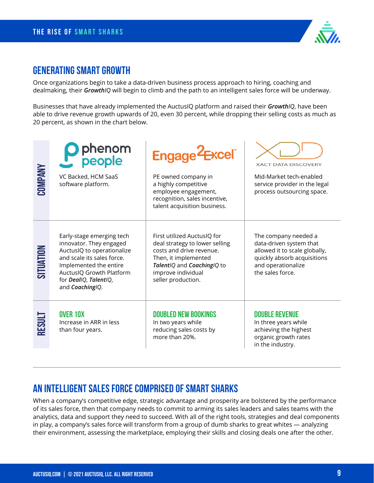

### **Generating Smart Growth**

Once organizations begin to take a data-driven business process approach to hiring, coaching and dealmaking, their *GrowthIQ* will begin to climb and the path to an intelligent sales force will be underway.

Businesses that have already implemented the AuctusIQ platform and raised their *GrowthIQ*, have been able to drive revenue growth upwards of 20, even 30 percent, while dropping their selling costs as much as 20 percent, as shown in the chart below.

| <b>COMPANY</b> | O phenom<br>Preople<br>VC Backed, HCM SaaS<br>software platform.                                                                                                                                                   | Engage <sup>2</sup> Excel<br>PE owned company in<br>a highly competitive                                                                                                                    | <b>XACT DATA DISCOVERY</b><br>Mid-Market tech-enabled<br>service provider in the legal                                                                    |
|----------------|--------------------------------------------------------------------------------------------------------------------------------------------------------------------------------------------------------------------|---------------------------------------------------------------------------------------------------------------------------------------------------------------------------------------------|-----------------------------------------------------------------------------------------------------------------------------------------------------------|
|                |                                                                                                                                                                                                                    | employee engagement,<br>recognition, sales incentive,<br>talent acquisition business.                                                                                                       | process outsourcing space.                                                                                                                                |
| SITUATION      | Early-stage emerging tech<br>innovator. They engaged<br>AuctusIQ to operationalize<br>and scale its sales force.<br>Implemented the entire<br>AuctusIQ Growth Platform<br>for DealIQ, TalentIQ,<br>and Coaching/Q. | First utilized AuctusIQ for<br>deal strategy to lower selling<br>costs and drive revenue.<br>Then, it implemented<br>TalentIQ and CoachingIQ to<br>improve individual<br>seller production. | The company needed a<br>data-driven system that<br>allowed it to scale globally,<br>quickly absorb acquisitions<br>and operationalize<br>the sales force. |
| RESULT         | <b>OVER 10X</b><br>Increase in ARR in less<br>than four years.                                                                                                                                                     | <b>DOUBLED NEW BOOKINGS</b><br>In two years while<br>reducing sales costs by<br>more than 20%.                                                                                              | <b>DOUBLE REVENUE</b><br>In three years while<br>achieving the highest<br>organic growth rates<br>in the industry.                                        |

### **An Intelligent Sales force Comprised Of Smart Sharks**

When a company's competitive edge, strategic advantage and prosperity are bolstered by the performance of its sales force, then that company needs to commit to arming its sales leaders and sales teams with the analytics, data and support they need to succeed. With all of the right tools, strategies and deal components in play, a company's sales force will transform from a group of dumb sharks to great whites — analyzing their environment, assessing the marketplace, employing their skills and closing deals one after the other.